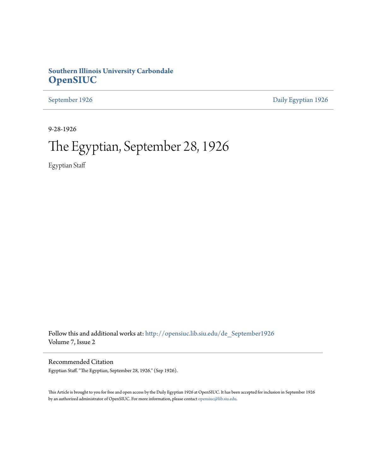## **Southern Illinois University Carbondale [OpenSIUC](http://opensiuc.lib.siu.edu?utm_source=opensiuc.lib.siu.edu%2Fde_September1926%2F1&utm_medium=PDF&utm_campaign=PDFCoverPages)**

[September 1926](http://opensiuc.lib.siu.edu/de_September1926?utm_source=opensiuc.lib.siu.edu%2Fde_September1926%2F1&utm_medium=PDF&utm_campaign=PDFCoverPages) [Daily Egyptian 1926](http://opensiuc.lib.siu.edu/de_1926?utm_source=opensiuc.lib.siu.edu%2Fde_September1926%2F1&utm_medium=PDF&utm_campaign=PDFCoverPages)

9-28-1926

# The Egyptian, September 28, 1926

Egyptian Staff

Follow this and additional works at: [http://opensiuc.lib.siu.edu/de\\_September1926](http://opensiuc.lib.siu.edu/de_September1926?utm_source=opensiuc.lib.siu.edu%2Fde_September1926%2F1&utm_medium=PDF&utm_campaign=PDFCoverPages) Volume 7, Issue 2

Recommended Citation

Egyptian Staff. "The Egyptian, September 28, 1926." (Sep 1926).

This Article is brought to you for free and open access by the Daily Egyptian 1926 at OpenSIUC. It has been accepted for inclusion in September 1926 by an authorized administrator of OpenSIUC. For more information, please contact [opensiuc@lib.siu.edu.](mailto:opensiuc@lib.siu.edu)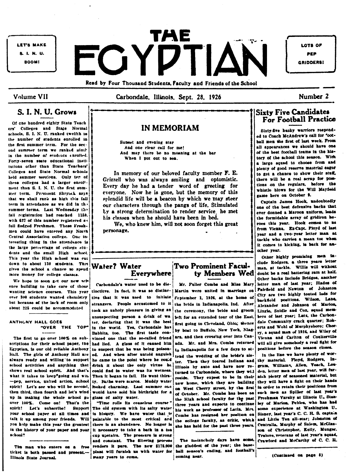LET'S MAKE 8. I. N. U. **BOOM!** 

FGYDTIAN Read by Four Thousand Students, Faculty and Friends of the School

LOTS OF PEP **GRIDDERS!** 

Number 2

**Volume VII** 

Carbondale, Illinois, Sept. 28, 1926

## S. I. N. U. Grows

Of one hundred eighty State Teach ers' Colleges and State Normal schools, S. I. N. U. ranked twelfth in the number of students enrolled in the first summer term. For the second summer term we ranked ninil in the number of students enrolled. Forty-seven state educational institutions other than State Teachers' Colleges and State Normal schools held summer sersions. Only ter of these colleges had a larger enroll. ment than S. I. N. U. the first summer term. Presuent Shrvock says that we shall rank as high this fall term in attendance as we did in the summer terms. Last Wednesday the fall registration had reached 1159. with 627 of this number registered as full fledged Freshmen. These Freshmen could have entered any North Central Association college. One interesting thing in the attendance is the large percentage of college students and the small High school. This year the High school was cut down to about 130 students. This gives the school a chance to spend more money for college classes.

We hope to soon get our new sch ence building to take care of those wanting science courses. This year over 300 students wanted chemistry. but because of the lack of room only about 225 could be accommodated

## ANTHONY HALL GOES "OVER THE TOP"

The first to go over 100% on subscriptions for their achool paper, the Egyptian, is our old reliable Anthony Hall. The girls of Anthony Hall are always ready and willing to support school activities and anything that shows real school spirit. And that's what it takes to keep<sup>\*</sup>going and win--pep, service, united action, school spirit! Let's see who will be second, then third, then fourth and let's wind up in making the whole achool go over 100%. Come on! That's the spirit! Let's subscribe! Support your school paper at all times and talk it up among your friends. Will you help make this year the greatest in the history of your paper and your school?

The man who enters on a free! Illinois State Journal.

## **IN MEMORIAM**

Sunset and evening star And one clear call for me! And may there be no moaning at the bar When I put out to sea.

In memory of our beloved faculty member F. E. Grizzell who was always smiling and optomistic. Every day he had a tender word of greeting for everyone. Now he is gone, but the memory of this splendid life will be a beacon by which we may steer our characters through the pangs of life, Stimulated by a strong determination to render service he met his classes when he should have been in bed.

We, who knew him, will not soon forget this great personage.

## **Water? Water** Everywhere

Carbondale's water used to be distinctitve. In fact, it was so distinctive that it was used to initiate strangers. People accustomed to it took an unholy pleasure in giving an unsuspecting person a drink of wa ter, declaring that it was the best in the world. Yes, Carbondale hav Babbits, too. The first taste convinced one that the so-called friend had lied. A glass of it caused him to suspect that he was being poisoned. And when after untold anguish he came to the point where he could drink it about the only virtue he could find in water was its wetness. Then it began to fail. He went thirsty. Baths were scarce. Muddy water looked charming. Last summer one would have sold his birthright for a glass of salty water.

"Time rolls its ceaseless course" The old system with its salty water is history. We have water that is palatable to the most critical and there is an abundance. No longer is it necessary to take a bath in a tea cup upatairs. The pressure is strong and constant. The filtering process renders it pure. The new \$175,000 ticket is both passed and present.-- | plant will furnish us with water for many years to come.

## Two Prominent Faculty Members Wed

Mr. Fuller Combs and Miss Mary Martin were united in marriage on Feptember 1, 1926, at the home of the bride in Indianapolis, Ind. After the ceremony, the bride and groom left for an extended tour of the East. first going to Cleveland, Ohio; thence by boat to Buffalo, New York, Niagara, and then crossing over into Canada. Mr. and Mrs. Combs returned to Indianapolis for a few days to attend the wedding of the bride's sister. Then they toured Indiana and lilinois by auto and have now returned to Carbondale, where they will reside. They expect to be in their new home, which they are building on West Cherry street, by the first of October. Mr. Combs has been on the High school faculty for the past three years and expects to continue his work as professor of Latin. Mrs. Combs has resigned her position on the college faculty, as critic, which she has held for the past three years.

The meiancholy days have come. the gladdest of the year; the baseball season's ending, and football's coming near.

## **Sixty Five Candidates** For Football Practice

Sixty-five husky warriors responded to Coach McAndrew's call for "ootball men the first of last week. From all appearances we should have one of the best football teams in the history of the school this season. With a large squad to choose from and plenty of good reserve material eager to get a chance to show their stuff. there will be a real scrap for posttions on the regulars, before the whistle blows for the Will Mayfield game here on October 9.

Captain James Hook, undoubtedly one of the best defensive backs that ever donned a Maroon uniform, leads the formidable array of gridiron heroes this year. Hook comes to as from Vienna. Ex-Capt. Floyd of last year and a two-year letter man at tackle who carries a mean toe when it comes to kicking, is back for another year.

Other highly promising men include Rodgers, a three years letter man, at tackle. Willis will without doubt be a real battering ram at half. Other backs include Bridges, another letter man of last year; Biades of Fairfield and Newton of Johnston City are two highly touted lads for backfield positions. Wilson, Lane, Alexander and Johnson of Marion, Lingle, Snidle and Cox, squad members of last year; Lutz, the Carbondale Community crack quarter; Roberts and Wohl of Murphysboro; Cherry, a squad man of 1924, and Wiley of Vienna and Carlton of Coulterville will all give somebody a real fight for positions before the season closes.

In the line we have plenty of worthy material. Floyd, Rodgers, Ingram, Williams, Allen, Veach, Louden, letter men of last year, will furaish pienty of seasoned material, but they will have a fight on their hands in order to retain their positions from such men as Spiller of last year's Freshman Varsity at Illinois U., Stanley of Marion, Pebles, who has had some experience at Washington U. Sisney, last year's C. C. H. S. captain and Little Ten all-star; Johnston of Centralia. Murphy of Salem, McGlasson of Christopher, Kelly, Munger. Trulove, veterans of last year's squad, Crawford and McCarthy of C. C. H.

(Continued on page 8)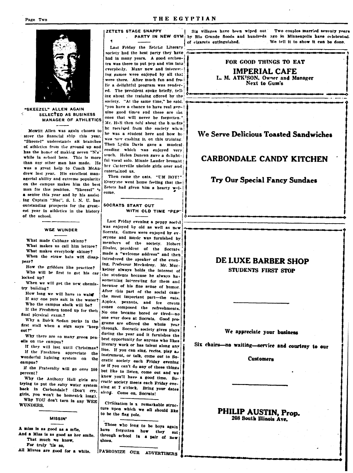

"SKEEZEL" ALLEN AGAIN SELECTED AS BUSINESS MANAGER OF ATHLETICS

Merritt Allen was again chosen to steer the financial ship this year. "Skeezel" understands all branches of athletics from the ground up and has the honor of making seven "N's" while in school here. This is more than any other man has made. He was a great help to Coach McAndrew last year. His excellent managerial ability and extreme popularity on the campus makes him the best man for this position. "Skeezel" 's a senior this year and by his assist ing Captain "Mac", S. I. N. U. has outstanding prospects for the greatest year in athletics in the history of the school.

### WEE WUNDER

What made Cabbage skinny? What makes us call him lettuce? What makes everybody skinny? When the straw hats will disappear?

How the gridders like practice? Who will be first to get his car locked up?

When we will get the new chemistry building?

How long we will have to wait If any one puts sait in the water? Who the campus sheik will be?

If the Freshmen toned up for their final physical exam.?

Why a Buick Sedan parks in the first stall when a sign says "keep out?"

Why there are so many green peneils on the campus?

If they will last until Christmas? If the Freshmen appreciate the wonderful lighting system on the campus?

If the Fraternity will go over 100 percent?

Why the Anthony Hall girls are trying to put the salty water system back in Carbondale? (Don't cry, girls, you won't be homesick long).

Why YOU don't turn in any WEE WUNDERS.

**MISSIN'** 

A miss is as good as a mile, And a Miss is as good as her smile. That much we know,

For truly 'tis so,

All Misses are good for a while.

### ZETETS STAGE SNAPPY PARTY IN NEW GYM

Last Friday the Zeictic Literary society had the best party they have had in many vears. A good orchestra was there to put pep and vim into everybody. Many new and interesting games were enjoyed by all that were there. After much fun and frolic a delightful program was rendered. The president spoke briefly, telling about the training offered by the society. "At the same time," he said. "you have a chance to have real genuine good times and these are the ones that will never be forgotten. Mr. Hall then told about the benefits he received from the society when he was a student here and how he was now cashing in on this training. Then Lydia Davis gave a musical reading which was enjoyed very much. Helen Duncan gave a delightful vocal solo. Minnie Lauder brought her Carterville ukelele girls over and entertained us.

Then came the eats. "UM BOY!" Everyone went home feeling that the Zetets had given him a hearty welcome.

### SOCRATS START OUT WITH OLD TIME "PEP"

Last Friday evening a peppy social was enjoyed by old as well as new Socrats. Games were enjoyed by ev. eryone and music was furnished by members of the society. Hobert Sissler, president of the Socrats made a "welcome address" and then introduced the speaker of the evening, Prefessor Muckelroy. Mr. Muckelroy always holds the interest of the students because he always has something interesting for them and because of his fine sense of humor. After this part of the social came the most important part-the eats. Apples, peanuts, and ice cream cones composed the refreshments. No one became bored or tired-no one ever does at Socrats. Good programs are offered the whole year through. Socratic society gives plays during the year and it furnishes the best opportunity for anyone who likes literary work or has talent along any line. If you can sing, recite, play an instrument, or talk, come out to Socratic society each Friday evening or if you can't do any of these things but like to listen, come out and we know you'll have a good time. Socratic society meets each Friday evening at 7 o'clock. Bring your dates along. Come on, Socrats!

Civilization is a remarkable structure upon which we all should like to be the flag pole.

Those who long to be boys again have forgotten how they sat through school in a pair of new shoes.

PATRONIZE OUR ADVERTISERS

Six villages have been wiped out Two couples married seventy years by Rio Grande floods and hundreds ago in Minneapolis have celebrated. We tell it to show it can be done. of cigarets extinguished.

## FOR GOOD THINGS TO EAT

**IMPERIAL CAFE** L. M. ATK<sup>1</sup>SON. Owner and Manager **Next to Gum's** 

. . . .

## We Serve Delicious Toasted Sandwiches

## **CARBONDALE CANDY KITCHEN**

### **Try Our Special Fancy Sundaes**

## DE LUXE BARBER SHOP **STUDENTS FIRST STOP**

### We appreciate your business

Six chairs-no waiting-service and courtesy to our

### **Customers**

## PHILIP AUSTIN, Prop. 208 South Illinois Ave.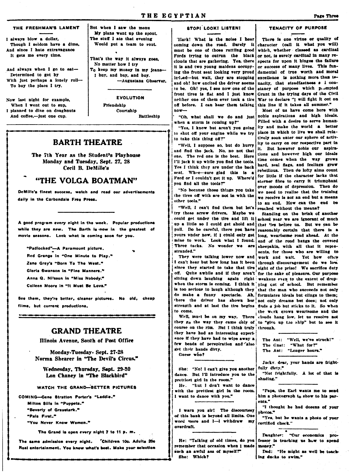### THE FRESHMAN'S LAMENT

I slwavs blow a dollar. Though I seldom have a dime, And since I hate extravagance It gets me every time.

And always when I go to eat-Determined to get by With just perhaps a lonely roll-To buy the place I try.

Now last night for example, When I went out to sup. I planned to dine on doughnuts And coffee.-- just one cup.

But when I saw the menu My plans went up the spout. The stuff I ate that evening Would put a team to rout.

That's the way it always goes. No matter how I try To keep my money in my jeans-I buy, and buy, and buy. -Augustana Observer.

**EVOLUTION** 

Friendshin Courtahip **Battleshin** 

## **BARTH THEATRE**

The 7th Year as the Student's Playhouse Monday and Tuesday, Sept. 27, 28 Cecil B. DeMille's

## "THE VOLGA BOATMAN"

DeMille's finest success, watch and read our advertisements daily in the Carbondale Free Press.

A good program every night in the week. Popular productions while they are new. The Barth is now in the greatest of movie seasons. Look what is coming soon for you.

"Padlocked"-A Paramount picture. Red Grange in "One Minute to Play." Zane Grey's "Born To The West."

Gloria Swanson in "Fine Manners."

Anna Q. Nilsson in "Miss Nobody."

Colleen Moore in "It Must Be Love."

See them, they're better, cleaner pictures. No old, cheap films, but current productions.

## **GRAND THEATRE**

Illinois Avenue. South of Post Office

Monday-Tuesday, Sept. 27-28 Norma Shearer in "The Devil's Circus."

Wednesday, Thursday, Sept. 29-30 Lon Chaney in "The Blackbird"

### WATCH THE GRAND-BETTER PICTURES

COMING-Gene Stratton Porter's "Laddie." Milton Sills in "Puppets." "Beverly of Graustark." "Date Einet " "You Never Know Women."

The Grand is open every night 7 to 11 p. m.

The same admission every night. Children 10c. Adults 20c Real entertainment. You know what's best. Make your selection

### **STOPI LOOK! LISTEN!**

'Hark! What is the noise I hear coming down the road. Surely it must be one of those rattling good Fords trying to outrun the black clouds that are gathering. Yes, there it is and two young maidens occupying the front seat looking very proud inded-but wait, they are stopping and oh! haw avoited the driver seems to be. Oh! yes, I see now one of the front tires is flat and I just know neither one of them ever took a tire off before. I can hear them talking  $now -$ 

"Oh, what shall we do and just when a storm is coming un?"

"Yes, I know but aren't you going to shut off your engine while we try to take this thing off?"

"Well, I suppose so, but do hurry and find the jack. No, no not that one. The red one is the best. Here 171 jack it un while you find the tools. Yes I think they are under the back seat. Whee-sure glad this is a Ford or I couldn't get it up. Where'd you find all the tools?"

"No because those things you take the tires off with are not in with the other tools."

"Well, I can't find them but let's try these screw drivers. Maybe we could get under the tire and lift it school year we are ignorant of much up a little so I could get ahold and pull. Do be careful, there you have yours under now, if I could only get mine to work. Look what I found. Three tacks. No wonder we are stranded."

They were talking lower now and I can't hear but how long has it been through discouragement do we love since they started to take that tire off. Quite awhile and if they aren't for the sake of pleasure. Our purpose sitting down laughing again right weakens even to the extent of dropwhen the storm is coming. I think it ping out of school. But remember is too serious to laugh although they do make a funny spectacle. Ah, formulates ideals but clings to them; there the driver has shown her not only dreams but does: not only strength and at last the tire begins finds a job but sticks to it. So when to come.

they go the way they came only of to "give up the ship" but to see it course on the rim. But I think truly through. they have had an interesting experience if they have had to wipe away a few beads of perspiration and also get their hands dirty. Guess who?

She: "No! I can't give you another dance. But I'll introduce you to the prettiest girl in the room." He. "But I don't want to dance

with the prettiest girl in the room. I want to dance with you."

I warn you sir! The discourtesy of this bank is beyond all limits. One word more and 1-1 withdraw my overdraft.

He: "Talking of old times, do you remember that occasion when I made such an awful ass of myself?" She: Which?

## TENACITY OF PURPOSE

There is one virtue or quality of character (call it what you will) which, whether classed as cardinal or not, is surely cardinal in many respects for upon it hinges the failure or success of many lives. This fundamental of true worth and moral excellence is nothing more than tenacity, that steadfastness a i constancy of purpose which prompted Grant in the trying days of the Civil War to declare "I will fight it out on this line if it takes all summer."

Most of us have come here with noble aspirations and high ideals. Filled with a desire to serve humanity and make the world a better place in which to live we shall relatively soon enter our sphere of activity to carry on our respective part in it. But however noble our aspirations and however high our ideals time comes when the way grows hard, zeal flags, and feelings grow rebellious. Then do lofty aims count for little if the character lacks that sterner fibre to carry it triumphant over moods of depression. Then do we need to realize that the training we receive is not an end but a means to an end. How can the end be reached without the means?

Standing on the brink of another that lies before us. But we can be reasonably certain that there is a long, wearisome road ahead. At the end of the road bangs the coveted sheepskin, with all that it represents, for those who are willing to work and wait. Yet how often sight of the prize! We sacrifice duty that the man who succeeds not only the work grows wearisome and the Well, must be on my way. There clouds hang low, let us resolve not

|  |                          | The Ant: "Well, we've struck!" |
|--|--------------------------|--------------------------------|
|  | The Gnat: "What for?"    |                                |
|  | The Ant: "Longer hours." |                                |

Jackv. dear, your hands are frightfully dirty."

"Not frightfully. A lot of that is shading."

"Papa, the Earl wants me to send him a photograph to show to his parents.'

"I thought he had dozens of your photos."

"Yes, but he wants a photo of your certified check."

Daughter: "Our economics professor is teaching us how to spend money."

Dad: "He might as well be teaching ducks to swim."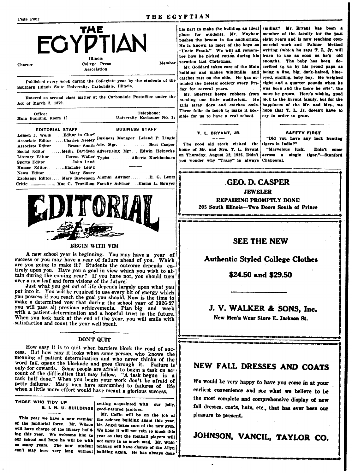### THE EGYPTIAN

Member



**Charter** 

College Press Association

Published every week during the Collegiate year by the students of the Southern Illinois State University, Carbondale, Illinois.

Entered as second class matter at the Carbondale Postoffice under the Act of March 3, 1879.

| Office:<br>Main Building, Room 16 |                                                             | Telephone:<br>University Exchange No. 1.                                                                                                                                                                                                             |
|-----------------------------------|-------------------------------------------------------------|------------------------------------------------------------------------------------------------------------------------------------------------------------------------------------------------------------------------------------------------------|
|                                   | <b>EDITORIAL STAFF</b>                                      | <b>BUSINESS STAFF</b>                                                                                                                                                                                                                                |
|                                   | Lemen J. Wells . Editor-in-Chief<br>Sports Editor John Land | Associate EditorCharles Neeley Business Manager Leland P. Lingle<br>Associate Editor.  Bessie Smith Adv. Mgr.  Bert Casper<br>Social Editor Melba Davidson Advertising Mgr Edwin Heinecke<br>Literary EditorCorem Waller Typist  Alberta Kochlenbacn |
|                                   | Humor EditorBlanche Lentz                                   |                                                                                                                                                                                                                                                      |
| <b>C-1+L-</b>                     | News Editor Mary Sauer                                      | Exchange Editor Mary Stevenson Alumni Advisor E. G. Lentz<br>Mag C. Trovillian Faculty Advisor. Frame J. Bowver                                                                                                                                      |



### BEGIN WITH VIM

A new school year is beginning. You may have a year of success or you may have a year of failure ahead of you. Which are you going to make it? Students the outcome depends entirely upon you. Have you a goal in view which you wish to attain during the coming year? If you have not, you should turn over a new leaf and form visions of the future.

Just what you get out of life depends largely upon what you put into it. You will be required to use every bit of energy which you possess if you reach the goal you should. Now is the time to make a determined vow that during the school year of 1926-27 you will pass all previous achievements. Plan big and work with a patient determination and a hopeful trust in the future. When you look back at the end of the year, you will smile with satisfaction and count the year well spent.

### DON'T QUIT

How easy it is to quit when barriers block the road of success. But how easy it looks when some person, who knows the meaning of patient determination and who never thinks of the word fail, opens the blockade and goes through it. Failure is only for cowards. Some people are afraid to begin a task on account of the difficulties that may follow. "A task begun is a task half done." When you begin your work don't be afraid of petty failures. Many men have succumbed to failures of life when a little more effort would have meant a glorious success.

THOSE WHO TIDY UP

getting acquainted with our joily, 8. 1. N. U. BUILDINGS good-natured janitors.

This year we have a new member of the janitorial force. Mr. Wilson Mr. Angel takes care of the new gym. will have charge of the library build- We hope it will not rain so much this ing this year. We welcome him to our school and hope he will be with not carry in so much mud. Mr. Whitus many years. The new student tenburg will have charge of the Allyn

Mr. Coffie will be on the job at the science building again this year. year so that the football players will can't stay here very long without building again. He has always done

his part to make the building an ideal smiling? Mr. Bryant has been place for students. Mr. Mayhew pushes the broom in the auditorium. He is known to most of the boys as "Uncle Frank." We will all remember how he picked cotton during his vacation last Christmas.

Mr. Goddard takes care of the Main building and makes windmills and catches rats on the side. He has attended the Zetetic society every Friday for several years.

Mr. Sherrets keeps robbers from stealing our little auditorium. He luck to the Bryant family, but for the kills stray dogs and catches owls. These folks do much to make it possible for us to have a real school.

### T. L. BRYANT, JR.

The good old stork visited the tigers in India?" home of Mr. and Mrs. T. L. Bryant on Thursday, August 12, 1926, Didn't you wonder why "Tracy" is always Chapparal.

member of the faculty for the past eight years and is now teaching commercial work and Palmer Method writing (which he says T. L. Jr. will learn to use as soon as he's old enough). The baby has been described to us by his proud papa as being a fine, big, dark-haired, blueeyed, smiling, baby boy. He weighed eight and a quarter pounds when he was born and the more he crie", the more he grows. Here's wishing good happiness of the Mr. and Mrs., we hope that T. L. Jr. doesn't have to cry in order to grow.

### **SAFETY FIRST**

"Did you have any luck hunting

"Marvelous luck. Didn't come across a single tiger."-Stanford

**GEO. D. CASPER** 

**JEWELER** 

**REPAIRING PROMPTLY DONE** 205 South Illinois-Two Doors South of Prince

## **SEE THE NEW**

## **Authentic Styled College Clothes**

### \$24.50 and \$29.50

## J. V. WALKER & SONS. Inc.

New Men's Wear Store E. Jackson St.

## NEW FALL DRESSES AND COATS

We would be very happy to have you come in at your earliest convenience and see what we believe to be the most complete and comprehensive display of new fall dresses, coats, hats, etc., that has ever been our pleasure to present.

JOHNSON, VANCIL, TAYLOR CO.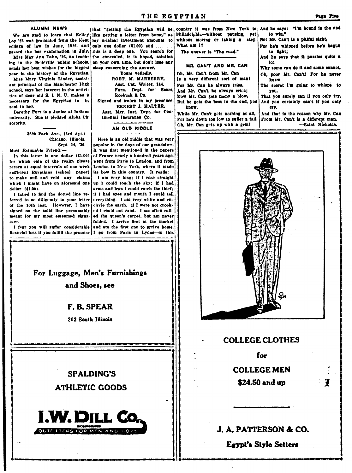### **ALUMNI NEWS**

We are glad to learn that Kelley Loy '23 was graduated from the Kent college of law in June, 1926, and only one dollar (\$1.00) and ....... passed the bar examination in July. this is a deep one. You search for Miss May Ann Deltz, '26, no teach-

ing in the Belleville public schools, sends her best wishes for the biggest! year in the history of the Egyptian.

Miss Mary Virginia Linder, assistant principal of the Manchester High school, says her interest in the activities of dear old S. I. N. U. makes it necessary for the Egyptian to be sent to her.

Dorothy Furr is a Junior at Indiana university. She is pledged Alpha Chi sorority.

> 3820 Park Ave., (3rd Apt.) Chicago, Illinois. Sept. 14, '26.

Most Estimable Friend:-

In this letter is one dollar (\$1.00) for which coin of the realm please return at equal intervals of one week sufficient Egyptians (school paper) to make null and void any claims which I might have on aforesaid one dollar (\$1.00).

I failed to find the dotted line referred to so diligently in your letter everything. I am very white and enof the 10th inst. However, I have signed on the solid line presumably ed I could not exist. I am often callmeant for my most esteemed signature.

I fear you will suffer considerable financial loss if you fulfill the promise I go from Paris to Lyons-in this

[that "getting the Egyptian will be country it was from New York to And he says: "I'm bound in the end like getting a letter from home," as my original investment amounts to without moving or taking a the concealed, it is hoped, solution on your own time, but don't lose any sleep concerning the answer.

Yours veiledly.

ROBT. M. MARBERRY, Asst. Cat. Writer, 144. Furn. Dept. for Sears, Roebuck & Co. Signed and sworn in my presence.

ERNEST J. HALTER, Asst. Mgr. Inst. Dept. for Con-

tinental Insurance Co.

## AN OLD RIDDLE

Here is an old riddle that was very popular in the davs of our grandsires. It was first mentioned in the papers of France pearly a hundred years ago. went from Paris to London, and from London to New York, where it made its bow in this country. It reads:

I am very long; if I rose straight up I could touch the sky: if I had arms and legs I could catch the thief: iff I had eves and mouth I could tell circle the earth. If I were not crooked the queen's carpet, but am never folded. I arrive first at the market and am the first one to arrive home.

For Luggage, Men's Furnishings and Shoes, see

## F. B. SPEAR

202 South Illinois

**SPALDING'S ATHLETIC GOODS** 



Philadelphia-without pausing, What am 1?

MR. CAN'T AND MR. CA

Oh. Mr. Can't from Mr. Can

The answer is "The road."

Is a very different sort of m

For Mr. Can he always tries,

And Mr. Can't he always crie

Now Mr. Can gets many a bio But he gets the best in the er

know. While Mr. Can't gets nothing For he's down too low to suffer Oh, Mr. Can gets up with a grin!

| yet i | to win."                                              |  |  |  |
|-------|-------------------------------------------------------|--|--|--|
| aten  | But Mr. Can't is a pitiful sight,                     |  |  |  |
|       | For he's whipped before he's begun<br>to fight:       |  |  |  |
|       | And he says that it puzzles quite a                   |  |  |  |
| W     | lo:<br>Why some can do it and some cannot.            |  |  |  |
| an i  | Oh, poor Mr. Can't! For he never<br>knew              |  |  |  |
|       | The secret I'm going to whispe to                     |  |  |  |
| is:   | you.                                                  |  |  |  |
| w.    | That you surely can if you only try,                  |  |  |  |
|       | ad, you   And you certainly can't if you only<br>ery. |  |  |  |
|       | at all,   And that is the reason why Mr. Can          |  |  |  |
|       | ' a fall, i From Mr. Can't is a different man.        |  |  |  |
|       |                                                       |  |  |  |

**COLLEGE CLOTHES** 

for **COLLEGE MEN** \$24.50 and up

J. A. PATTERSON & CO.

Egypt's Style Setters

-Saint Nicholas.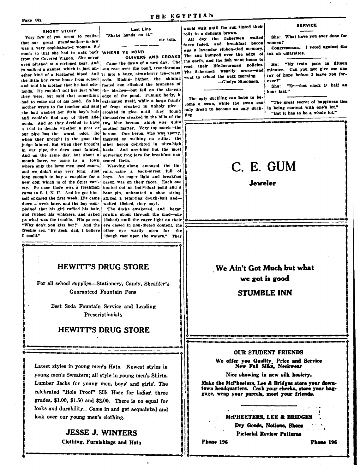### **SHORT STORY**

Very few of you seem to realize that our great grandmother-in-law was a very sophisticated woman. So much so that she had to walk back WHERE YE POND from the Covered Wagon. She never even blushed at a stripped gear. And in walked a gannet, which is just another kind of a feathered biped. And it into a huge, strawberry ice-cream the little boy came home from school and told his mother that he had adenoids. He couldn't tell her just what they were, but said that something had to come out of his head. So his extricated itself, while a large family mother wrote to the teacher and said she had washed her little boy's hair and couldn't find any of them adenoids. And so they decided to have a trial to decide whether a goat or our pipe has the worst odor. So when they brought in the goat the judge fainted. But when they brought in our pipe the darn goat fainted. And on the same day, but about a month later, we came to a town where only the lame men used canes, and we didn't stay very long. Just long enough to buy a cuspidor for a new dog, which is of the Spitz variety. So once there wuz a freshman came to S. I. N. U. And he got himself engaged the first week. His came down a week later, and the boy complained that his girl ruffled his hair, and rubbed his whiskers, and asked pa what was the trouble. His pa sez, "Why don't you kiss her?" And the freshie sez, "By gosh, dad, I believe I could."

Last Line "Shake hands on it." -sir tom.

QUIVERS AND CROAKS Came the dawn of a new day. The sun rose over the pond, transforming soda. Rising- higher, the shining footed sun climbed the branches of the birches-but fell on the tin-can edge of the pond. Fuming hotly, it of frogs croaked in unholy gleecroaked in glee, until they found themselves croaked in the bills of the two blue herons-which was quite another matter. Very top-notch-the herons. One heron, who was sporty, insisted on walking on stilts; the other heron delighted in ultra-high heels. And anything but the most quivering frog legs for breakfast nauseated them.

Weaving along amongst the tincans, came a back-street full of boys. An eager light and breakfast hacon was on their faces. Each one hunted out an individual pond and a bent pin, unknotted a shoe string. affixed a tempting dough-bait andwaited (fished, they say).

The ducks awakened, and began rowing about through the mud-one (fished) until the eager light on their eye closed in non-dieted content, the other eye warily open for the "dough cast upon the waters." They

## **HEWITT'S DRUG STORE**

For all school supplies-Stationery, Candy, Sheaffer's **Guaranteed Fountain Pens** 

> Best Soda Fountain Service and Leading Prescriptionists

## **HEWITT'S DRUG STORE**

Latest styles in young men's Hats. Newest styles in young men's Sweaters; all style in young men's Shirts. Lumber Jacks for young men, boys' and girls'. The celebrated "Hole Proof" Silk Hose for ladies, three grades, \$1.00, \$1.50 and \$2.00. There is no equal for looks and durability.. Come in and get acquainted and look over our young men's clothing.

## **JESSE J. WINTERS**

Clothing, Furnishings and Hats

would wait until the sun tinted their rolls to a delicate brown.

All day the fishermen waited faces faded, and breakfast bacon was a lavendar ribbon-tied memory. The sun bumped over the edge of the earth, and the fish went home to read their life-insurance policies. The fishermen wearlly arose-and went to school the next morning. -Gladys Simonsen.

The ugly duckling can hope to be come a swan, while the swan can only dread to become an ugly duckling.

### **SERVICE**

She: What have you ever done for women?

Congressman: I voted against the tax on cigarettes.

He: "My train goes in fifteen minutes. Can you not give me one ray of hope before I leave you forever?"

"Er-that clock is half an She: hour fast."

"The great secret of happiness lies in being content with one's lot." "But it has to be a whole lot."

# C. E. GUM

**Jeweler** 

## We Ain't Got Much but what we got is good

**STUMBLE INN** 

### **OUR STUDENT FRIENDS**

We offer you Quality Price and Service<br>New Fall Silks, Neckwear

Nice showing in new silk hosiery.

Make the McPheeters, Lee & Bridges store your downtown headquarters. Cash your checks, store your baggage, wrap your parcels, meet your friends.

### McPHEETERS. LEE & BRIDGES

Dry Goods, Notions, Shoes **Pictorial Review Patterns** 

Phone 196

Phone 196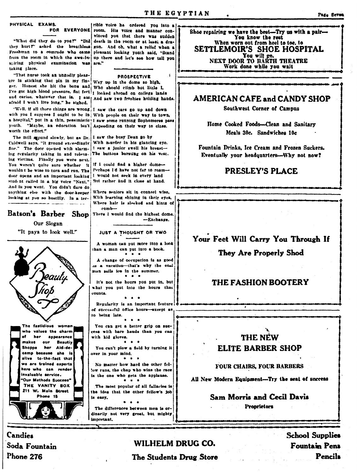Ů

### **PHYSICAL FXAMS.** FOR EVERYONE room. His voice and manner con-

vinced you that there was sudden "What did they do to you?" "Did death in the room or at least a drathey hurt?" asked the breathless gon. And oh, what a relief when a Freahman to a comrade who came pleasant looking youth said, "Stand from the room in which the awe-inup there and let's see how tall you suiring physical examination was are." taking place.

"That nurse took an ungodly pleasure in sticking that pin in my fin- Way up in the dome so high, ger. Honest she hit the bone and Who should climb but little I, I've got high blood pressure, flat feet | looked abroad on college lands and caries, whatever that is. I am | And saw two freshies holding hands. afraid I won't live long." he sighed.

"Well, if all those things are wrong 1 saw the cars go up and down with you I suppose I ought to be in With people on their way to town, a hospital," put in a thin, pessimistic | saw some running Sophomores pass youth. "Maybe, an education isn't Aspeeding on their way to class. worth the effort."

The mill spound slowly, but as Dr. I saw the busy Dean go by Caldwell says, "It ground exceedingly With nurder in his glancing eye. fine." The door opened with alarm- I saw a junior swell his breasting regularity taking in and relens. The buttons bursting on his vest. ing victims. Finally you were next. You weren't quite sure whether it Perhaps I'd have not far to roamwouldn't be wise to turn and run. The door opens and an important looking I would not seek in every land student called in a big voice "Next." But rather and it close at hand. And in you went. You didn't dare do anything else with the door-keeper looking at you so hostilly. In a ter-

### Batson's Barber Shop

Our Slogan "It pays to look well."

The fastidious woman

who values the charm

makes our Beautiy

alive to-the-fact that

we are trained experts

here who can render

'Our Methods Succeen"

THE VANITY BOX

211 W. Main Street

Phone 15

nvaluable service.

appearance

her Aid-decamp because she is

of her

**Shoppe** 

-Exchange. JUST A THOUGHT OR TWO

There I would find the highest dome.

If I could find a higher dome-

Where seniors sit in connsel wise.

comb-

With learning shining in their eyes, Where hair is sleeked and hints of

irible voice he ordered you into a

**PROSPECTIVE** 

A woman can put more into a look than a man can put into a book. -<br>|a = a

A change of occupation is as good as a vacation-that's why the coal man sells ice in the summer.

It's not the hours you put in, but what you put into the hours that counts.

Regularity is an important feature of successful office hours-except as to being late.

You can get a better grip on success with bare hands than you can with kid gloves.

You can't plow a field by turning it over in your mind.

 $\bullet$ No matter how hard the other fellow runs, the chap who wins the race is the one who gets the applause.  $\bullet$  $\mathbf{r}$ 

The most popular of all fallacies is the idea that the other fellow's job is easy.

 $\bullet$   $\bullet$ The differences between men is ordinarily not very great, but mighty important.

Shoe repairing we have the best-Try us with a pair-You know the rest When worn out from heel to toe, to SETTLEMOIR'S SHOE HOSPITAL You will go.<br>NEXT DOOR TO BARTH THEATRE Work done while you wait

## **AMERICAN CAFE and CANDY SHOP**

Southwest Corner of Campus

Home Cooked Foods-Clean and Sanitary Meals 30c. Sandwiches 10c

Fountain Drinks, Ice Cream and Frozen Suckers. Eventually your headquarters-Why not now?

## **PRESLEY'S PLACE**

## Your Feet Will Carry You Through If

## They Are Properly Shod

## THE FASHION BOOTERY

## THE NEW **ELITE BARBER SHOP**

## **FOUR CHAIRS, FOUR BARBERS**

All New Modern Equipment-Try the seat of success

**Sam Morris and Cecil Davis** 

**Proprietors** 

**Candies** Soda Fountain Phone 276

WILHELM DRUG CO. The Students Drug Store **School Supplies Fountain Pens** Pencils